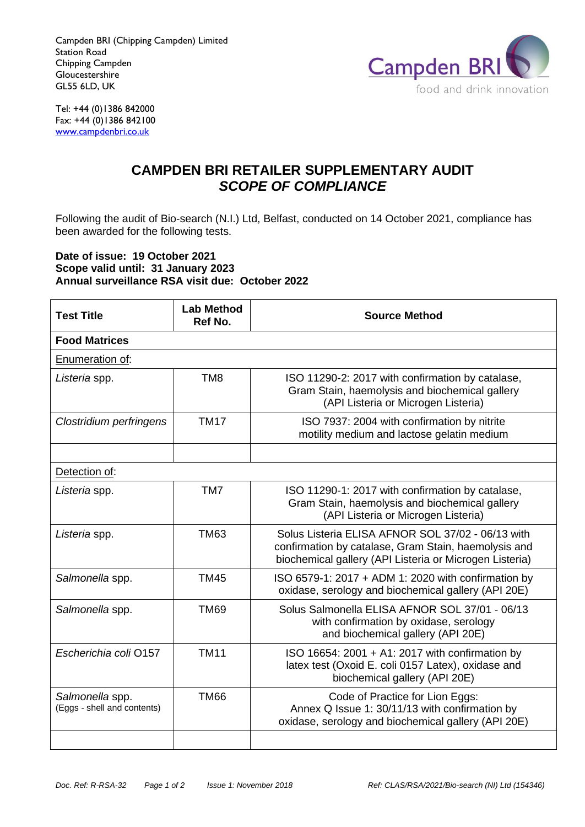Campden BRI (Chipping Campden) Limited Station Road Chipping Campden **Gloucestershire** GL55 6LD, UK



Tel: +44 (0)1386 842000 Fax:  $+44(0)1386842100$ [www.campdenbri.co.uk](http://www.campdenbri.co.uk/)

## **CAMPDEN BRI RETAILER SUPPLEMENTARY AUDIT** *SCOPE OF COMPLIANCE*

Following the audit of Bio-search (N.I.) Ltd, Belfast, conducted on 14 October 2021, compliance has been awarded for the following tests.

## **Date of issue: 19 October 2021 Scope valid until: 31 January 2023 Annual surveillance RSA visit due: October 2022**

| <b>Test Title</b>                              | <b>Lab Method</b><br>Ref No. | <b>Source Method</b>                                                                                                                                                 |  |
|------------------------------------------------|------------------------------|----------------------------------------------------------------------------------------------------------------------------------------------------------------------|--|
| <b>Food Matrices</b>                           |                              |                                                                                                                                                                      |  |
| Enumeration of:                                |                              |                                                                                                                                                                      |  |
| Listeria spp.                                  | TM <sub>8</sub>              | ISO 11290-2: 2017 with confirmation by catalase,<br>Gram Stain, haemolysis and biochemical gallery<br>(API Listeria or Microgen Listeria)                            |  |
| Clostridium perfringens                        | <b>TM17</b>                  | ISO 7937: 2004 with confirmation by nitrite<br>motility medium and lactose gelatin medium                                                                            |  |
|                                                |                              |                                                                                                                                                                      |  |
| Detection of:                                  |                              |                                                                                                                                                                      |  |
| Listeria spp.                                  | TM7                          | ISO 11290-1: 2017 with confirmation by catalase,<br>Gram Stain, haemolysis and biochemical gallery<br>(API Listeria or Microgen Listeria)                            |  |
| Listeria spp.                                  | <b>TM63</b>                  | Solus Listeria ELISA AFNOR SOL 37/02 - 06/13 with<br>confirmation by catalase, Gram Stain, haemolysis and<br>biochemical gallery (API Listeria or Microgen Listeria) |  |
| Salmonella spp.                                | <b>TM45</b>                  | ISO 6579-1: 2017 + ADM 1: 2020 with confirmation by<br>oxidase, serology and biochemical gallery (API 20E)                                                           |  |
| Salmonella spp.                                | <b>TM69</b>                  | Solus Salmonella ELISA AFNOR SOL 37/01 - 06/13<br>with confirmation by oxidase, serology<br>and biochemical gallery (API 20E)                                        |  |
| Escherichia coli O157                          | <b>TM11</b>                  | ISO 16654: 2001 + A1: 2017 with confirmation by<br>latex test (Oxoid E. coli 0157 Latex), oxidase and<br>biochemical gallery (API 20E)                               |  |
| Salmonella spp.<br>(Eggs - shell and contents) | <b>TM66</b>                  | Code of Practice for Lion Eggs:<br>Annex Q Issue 1: 30/11/13 with confirmation by<br>oxidase, serology and biochemical gallery (API 20E)                             |  |
|                                                |                              |                                                                                                                                                                      |  |